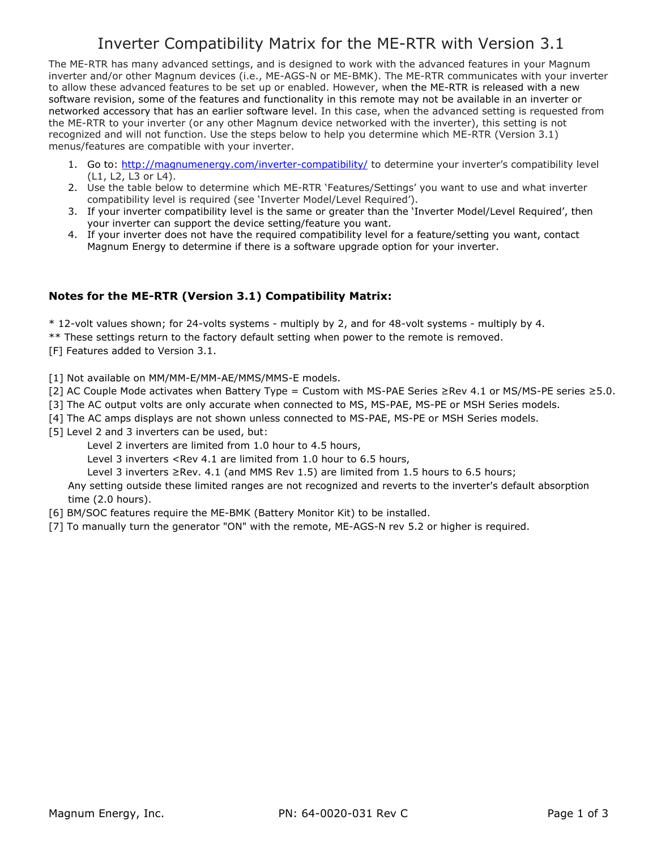## Inverter Compatibility Matrix for the ME-RTR with Version 3.1

The ME-RTR has many advanced settings, and is designed to work with the advanced features in your Magnum inverter and/or other Magnum devices (i.e., ME-AGS-N or ME-BMK). The ME-RTR communicates with your inverter to allow these advanced features to be set up or enabled. However, when the ME-RTR is released with a new software revision, some of the features and functionality in this remote may not be available in an inverter or networked accessory that has an earlier software level. In this case, when the advanced setting is requested from the ME-RTR to your inverter (or any other Magnum device networked with the inverter), this setting is not recognized and will not function. Use the steps below to help you determine which ME-RTR (Version 3.1) menus/features are compatible with your inverter.

- 1. Go to:<http://magnumenergy.com/inverter-compatibility/> to determine your inverter's compatibility level (L1, L2, L3 or L4).
- 2. Use the table below to determine which ME-RTR 'Features/Settings' you want to use and what inverter compatibility level is required (see 'Inverter Model/Level Required').
- 3. If your inverter compatibility level is the same or greater than the 'Inverter Model/Level Required', then your inverter can support the device setting/feature you want.
- 4. If your inverter does not have the required compatibility level for a feature/setting you want, contact Magnum Energy to determine if there is a software upgrade option for your inverter.

## **Notes for the ME-RTR (Version 3.1) Compatibility Matrix:**

\* 12-volt values shown; for 24-volts systems - multiply by 2, and for 48-volt systems - multiply by 4.

\*\* These settings return to the factory default setting when power to the remote is removed.

[F] Features added to Version 3.1.

[1] Not available on MM/MM-E/MM-AE/MMS/MMS-E models.

[2] AC Couple Mode activates when Battery Type = Custom with MS-PAE Series ≥Rev 4.1 or MS/MS-PE series ≥5.0.

- [3] The AC output volts are only accurate when connected to MS, MS-PAE, MS-PE or MSH Series models.
- [4] The AC amps displays are not shown unless connected to MS-PAE, MS-PE or MSH Series models.
- [5] Level 2 and 3 inverters can be used, but:
	- Level 2 inverters are limited from 1.0 hour to 4.5 hours,

Level 3 inverters <Rev 4.1 are limited from 1.0 hour to 6.5 hours,

Level 3 inverters ≥Rev. 4.1 (and MMS Rev 1.5) are limited from 1.5 hours to 6.5 hours;

Any setting outside these limited ranges are not recognized and reverts to the inverter's default absorption time (2.0 hours).

- [6] BM/SOC features require the ME-BMK (Battery Monitor Kit) to be installed.
- [7] To manually turn the generator "ON" with the remote, ME-AGS-N rev 5.2 or higher is required.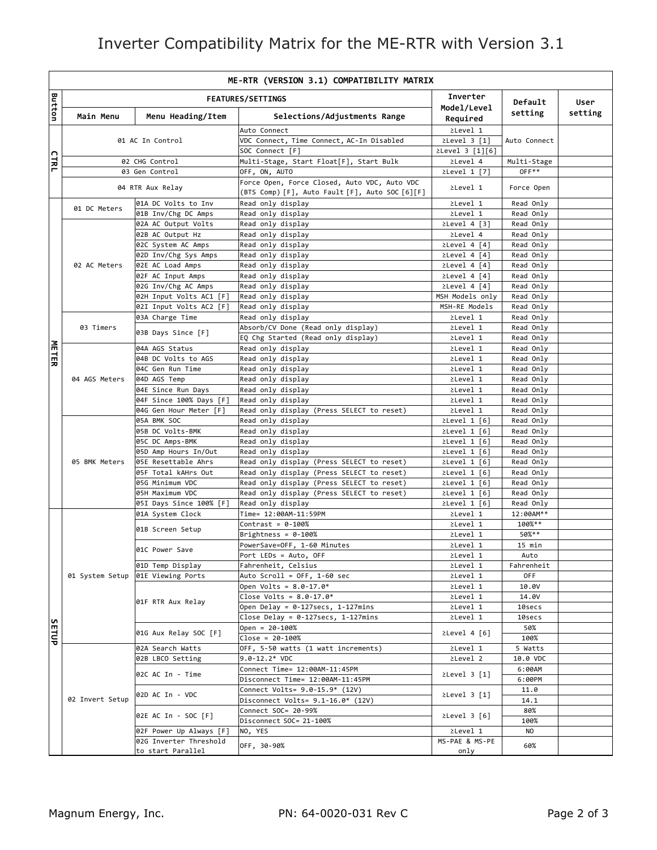| ME-RTR (VERSION 3.1) COMPATIBILITY MATRIX |                                     |                                                   |                                                                                                  |                            |                        |         |  |  |  |  |
|-------------------------------------------|-------------------------------------|---------------------------------------------------|--------------------------------------------------------------------------------------------------|----------------------------|------------------------|---------|--|--|--|--|
| Button                                    |                                     | Inverter<br>Model/Level                           | Default                                                                                          | User                       |                        |         |  |  |  |  |
|                                           | Main Menu                           | Menu Heading/Item                                 | Selections/Adjustments Range                                                                     | Required                   | setting                | setting |  |  |  |  |
|                                           | 01 AC In Control<br>02 CHG Control  |                                                   | Auto Connect<br>VDC Connect, Time Connect, AC-In Disabled                                        | 2Level 1<br>2Level 3 [1]   | Auto Connect           |         |  |  |  |  |
|                                           |                                     |                                                   | SOC Connect [F]                                                                                  | ≥Level 3 [1][6]            |                        |         |  |  |  |  |
| <b>CTRL</b>                               |                                     |                                                   | Multi-Stage, Start Float[F], Start Bulk                                                          | 2Level 4                   | Multi-Stage            |         |  |  |  |  |
|                                           | 03 Gen Control                      |                                                   | OFF, ON, AUTO                                                                                    | 2Level 1 [7]               | OFF**                  |         |  |  |  |  |
|                                           | 04 RTR Aux Relay                    |                                                   | Force Open, Force Closed, Auto VDC, Auto VDC<br>(BTS Comp) [F], Auto Fault [F], Auto SOC [6] [F] | 2Level 1                   | Force Open             |         |  |  |  |  |
|                                           | 01 DC Meters                        | 01A DC Volts to Inv                               | Read only display                                                                                | ≥Level 1                   | Read Only              |         |  |  |  |  |
|                                           |                                     | 01B Inv/Chg DC Amps                               | Read only display                                                                                | 2Level 1                   | Read Only              |         |  |  |  |  |
|                                           |                                     | 02A AC Output Volts<br>02B AC Output Hz           | Read only display<br>Read only display                                                           | 2Level 4 [3]<br>2Level 4   | Read Only<br>Read Only |         |  |  |  |  |
|                                           |                                     | 02C System AC Amps                                | Read only display                                                                                | 2Level 4 [4]               | Read Only              |         |  |  |  |  |
|                                           |                                     | 02D Inv/Chg Sys Amps                              | Read only display                                                                                | $\geq$ Level 4 [4]         | Read Only              |         |  |  |  |  |
|                                           | 02 AC Meters                        | 02E AC Load Amps                                  | Read only display                                                                                | 2Level 4 [4]               | Read Only              |         |  |  |  |  |
|                                           |                                     | 02F AC Input Amps                                 | Read only display                                                                                | $\geq$ Level 4 [4]         | Read Only              |         |  |  |  |  |
|                                           |                                     | 02G Inv/Chg AC Amps                               | Read only display                                                                                | 2Level 4 [4]               | Read Only              |         |  |  |  |  |
|                                           |                                     | 02H Input Volts AC1 [F]                           | Read only display                                                                                | MSH Models only            | Read Only              |         |  |  |  |  |
|                                           |                                     | 02I Input Volts AC2 [F]                           | Read only display                                                                                | MSH-RE Models              | Read Only              |         |  |  |  |  |
|                                           | 03 Timers                           | 03A Charge Time                                   | Read only display                                                                                | ≥Level 1                   | Read Only              |         |  |  |  |  |
|                                           |                                     | 03B Days Since [F]                                | Absorb/CV Done (Read only display)                                                               | ≥Level 1                   | Read Only              |         |  |  |  |  |
|                                           |                                     |                                                   | EQ Chg Started (Read only display)                                                               | 2Level 1                   | Read Only              |         |  |  |  |  |
| 즮                                         |                                     | 04A AGS Status                                    | Read only display                                                                                | ≥Level 1                   | Read Only              |         |  |  |  |  |
| TER                                       | 04 AGS Meters                       | 04B DC Volts to AGS                               | Read only display                                                                                | $2$ Level 1                | Read Only              |         |  |  |  |  |
|                                           |                                     | 04C Gen Run Time                                  | Read only display                                                                                | ≥Level 1                   | Read Only              |         |  |  |  |  |
|                                           |                                     | 04D AGS Temp                                      | Read only display                                                                                | ≥Level 1                   | Read Only              |         |  |  |  |  |
|                                           |                                     | 04E Since Run Days                                | Read only display                                                                                | ≥Level 1                   | Read Only              |         |  |  |  |  |
|                                           |                                     | 04F Since 100% Days [F]<br>04G Gen Hour Meter [F] | Read only display<br>Read only display (Press SELECT to reset)                                   | ≥Level 1<br>2Level 1       | Read Only<br>Read Only |         |  |  |  |  |
|                                           |                                     | 05A BMK SOC                                       | Read only display                                                                                | 2Level 1 [6]               | Read Only              |         |  |  |  |  |
|                                           | 05 BMK Meters                       | 05B DC Volts-BMK                                  | Read only display                                                                                | 2Level 1 [6]               | Read Only              |         |  |  |  |  |
|                                           |                                     | 05C DC Amps-BMK                                   | Read only display                                                                                | 2Level 1 [6]               | Read Only              |         |  |  |  |  |
|                                           |                                     | 05D Amp Hours In/Out                              | Read only display                                                                                | 2Level 1 [6]               | Read Only              |         |  |  |  |  |
|                                           |                                     | 05E Resettable Ahrs                               | Read only display (Press SELECT to reset)                                                        | 2Level 1 [6]               | Read Only              |         |  |  |  |  |
|                                           |                                     | 05F Total kAHrs Out                               | Read only display (Press SELECT to reset)                                                        | 2Level 1 [6]               | Read Only              |         |  |  |  |  |
|                                           |                                     | 05G Minimum VDC                                   | Read only display (Press SELECT to reset)                                                        | 2Level 1 [6]               | Read Only              |         |  |  |  |  |
|                                           |                                     | 05H Maximum VDC                                   | Read only display (Press SELECT to reset)                                                        | 2Level 1 [6]               | Read Only              |         |  |  |  |  |
|                                           |                                     | 05I Days Since 100% [F]                           | Read only display                                                                                | 2Level 1 [6]               | Read Only              |         |  |  |  |  |
|                                           | 01 System Setup   01E Viewing Ports | 01A System Clock                                  | Time= 12:00AM-11:59PM                                                                            | ≥Level 1                   | 12:00AM**              |         |  |  |  |  |
|                                           |                                     | 01B Screen Setup<br>01C Power Save                | Contrast = $0-100\%$                                                                             | 2Level 1                   | 100%**                 |         |  |  |  |  |
|                                           |                                     |                                                   | Brightness = $0-100%$                                                                            | ≥Level 1                   | 50%**                  |         |  |  |  |  |
|                                           |                                     |                                                   | PowerSave=OFF, 1-60 Minutes                                                                      | $2$ Level 1                | 15 min                 |         |  |  |  |  |
|                                           |                                     |                                                   | Port LEDs = Auto, OFF                                                                            | ≥Level 1                   | Auto                   |         |  |  |  |  |
|                                           |                                     | 01D Temp Display                                  | Fahrenheit, Celsius                                                                              | ≥Level 1                   | Fahrenheit             |         |  |  |  |  |
|                                           |                                     |                                                   | Auto Scroll = $OFF$ , 1-60 sec<br>Open Volts = $8.0 - 17.0*$                                     | ≥Level 1<br>≥Level 1       | OFF<br>10.0V           |         |  |  |  |  |
|                                           |                                     | 01F RTR Aux Relay                                 | Close Volts = $8.0 - 17.0*$                                                                      | ≥Level 1                   | 14.0V                  |         |  |  |  |  |
|                                           |                                     |                                                   | Open Delay = $0-127$ secs, 1-127mins                                                             | ≥Level 1                   | 10secs                 |         |  |  |  |  |
|                                           |                                     |                                                   | Close Delay = $0-127$ secs, 1-127mins                                                            | ≥Level 1                   | 10secs                 |         |  |  |  |  |
| ЯË                                        |                                     | 01G Aux Relay SOC [F]                             | Open = $20 - 100\%$                                                                              |                            | 50%                    |         |  |  |  |  |
| ਵ੍ਹ                                       |                                     |                                                   | $Close = 20-100%$                                                                                | $\geq$ Level 4 [6]         | 100%                   |         |  |  |  |  |
|                                           |                                     | 02A Search Watts                                  | OFF, 5-50 watts (1 watt increments)                                                              | ≥Level 1                   | 5 Watts                |         |  |  |  |  |
|                                           |                                     | 02B LBCO Setting                                  | $9.0 - 12.2* VDC$                                                                                | ≥Level 2                   | 10.0 VDC               |         |  |  |  |  |
|                                           |                                     | 02C AC In - Time<br>02D AC In - VDC               | Connect Time= 12:00AM-11:45PM                                                                    | 2Level 3 [1]               | 6:00AM                 |         |  |  |  |  |
|                                           |                                     |                                                   | Disconnect Time= 12:00AM-11:45PM                                                                 |                            | 6:00PM                 |         |  |  |  |  |
|                                           |                                     |                                                   | Connect Volts= 9.0-15.9* (12V)                                                                   | $2$ Level 3 [1]            | 11.0                   |         |  |  |  |  |
|                                           | 02 Invert Setup                     |                                                   | Disconnect Volts= 9.1-16.0* (12V)                                                                |                            | 14.1                   |         |  |  |  |  |
|                                           |                                     | 02E AC In - SOC [F]                               | Connect SOC= 20-99%                                                                              | $\geq$ Level 3 [6]         | 80%                    |         |  |  |  |  |
|                                           |                                     |                                                   | Disconnect SOC= 21-100%                                                                          |                            | 100%                   |         |  |  |  |  |
|                                           |                                     | 02F Power Up Always [F]<br>02G Inverter Threshold | NO, YES                                                                                          | ≥Level 1<br>MS-PAE & MS-PE | NO                     |         |  |  |  |  |
|                                           |                                     | to start Parallel                                 | OFF, 30-90%                                                                                      | only                       | 60%                    |         |  |  |  |  |
|                                           |                                     |                                                   |                                                                                                  |                            |                        |         |  |  |  |  |